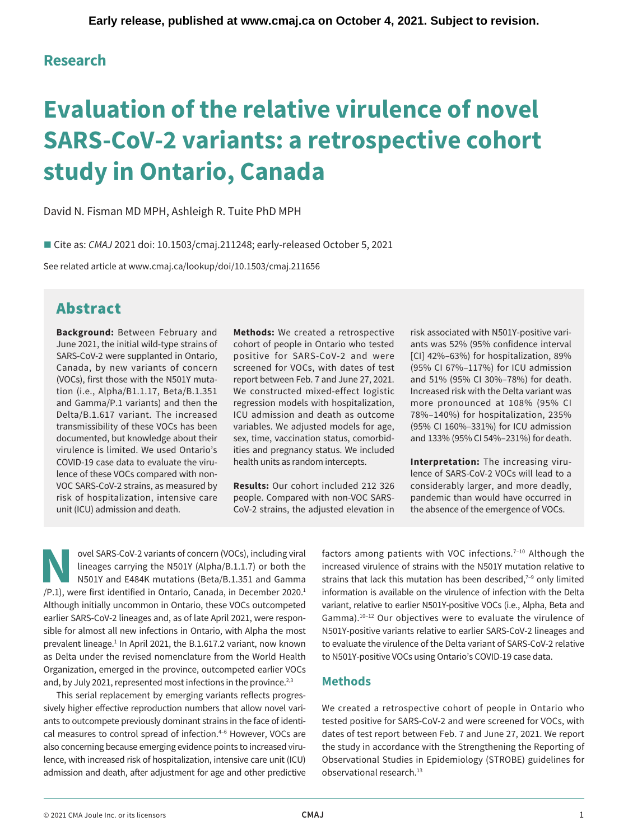## **Research**

# **Evaluation of the relative virulence of novel SARS-CoV-2 variants: a retrospective cohort study in Ontario, Canada**

David N. Fisman MD MPH, Ashleigh R. Tuite PhD MPH

■ Cite as: *CMAJ* 2021 doi: 10.1503/cmaj.211248; early-released October 5, 2021

See related article at <www.cmaj.ca/lookup/doi/10.1503/cmaj.211656>

# Abstract

June 2021, the initial wild-type strains of cohort of people in Ontario who tested ants was 52% (95% confidence interval SARS-CoV-2 were supplanted in Ontario, positive for SARS-CoV-2 and were [CI] 42%–63%) for hospitalization, 89% Canada, by new variants of concern screened for VOCs, with dates of test (95% CI 67%–117%) for ICU admission tion (i.e., [Alpha/B1.1.17](https://Alpha/B1.1.17), Beta/B.1.351 We constructed mixed-effect logistic Increased risk with the Delta variant was and Gamma/P.1 variants) and then the regression models with hospitalization, more pronounced at 108% (95% CI Delta/B.1.617 variant. The increased ICU admission and death as outcome 78%–140%) for hospitalization, 235% transmissibility of these VOCs has been variables. We adjusted models for age, (95% CI 160%–331%) for ICU admission virulence is limited. We used Ontario's ities and pregnancy status. We included COVID-19 case data to evaluate the viru- health units as random intercepts. **Interpretation:** The increasing viru-

unit (ICU) admission and death. CoV-2 strains, the adjusted elevation in the absence of the emergence of VOCs.

**Background:** Between February and **Methods:** We created a retrospective risk associated with N501Y-positive vari-(VOCs), first those with the N501Y muta- report between Feb. 7 and June 27, 2021. and 51% (95% CI 30%–78%) for death. documented, but knowledge about their sex, time, vaccination status, comorbid- and 133% (95% CI 54%–231%) for death.

lence of these VOCs compared with non- lence of SARS-CoV-2 VOCs will lead to a VOC SARS-CoV-2 strains, as measured by **Results:** Our cohort included 212 326 considerably larger, and more deadly, risk of hospitalization, intensive care people. Compared with non-VOC SARS- pandemic than would have occurred in

lineages carrying the N501Y (Alpha/B.1.1.7) or both the ovel SARS-CoV-2 variants of concern (VOCs), including viral factors among patients with VOC infections.<sup>7–10</sup> Although the<br>lineages carrying the N501Y (Alpha/B.1.1.7) or both the increased virulence of strains with the N50 Although initially uncommon in Ontario, these VOCs outcompeted variant, relative to earlier N501Y-positive VOCs (i.e., Alpha, Beta and sible for almost all new infections in Ontario, with Alpha the most N501Y-positive variants relative to earlier SARS-CoV-2 lineages and prevalent lineage. $1$  In April 2021, the B.1.617.2 variant, now known as Delta under the revised nomenclature from the World Health to N501Y-positive VOCs using Ontario's COVID-19 case data. Organization, emerged in the province, outcompeted earlier VOCs and, by July 2021, represented most infections in the province.<sup>2,3</sup> Methods

This serial replacement by emerging variants reflects progresadmission and death, after adjustment for age and other predictive observational research.<sup>13</sup>

increased virulence of strains with the N501Y mutation relative to strains that lack this mutation has been described, $7-9$  only limited information is available on the virulence of infection with the Delta earlier SARS-CoV-2 lineages and, as of late April 2021, were respon-<br>Gamma).<sup>10-12</sup> Our objectives were to evaluate the virulence of to evaluate the virulence of the Delta variant of SARS-CoV-2 relative

sively higher efective reproduction numbers that allow novel vari- We created a retrospective cohort of people in Ontario who ants to outcompete previously dominant strains in the face of identi- tested positive for SARS-CoV-2 and were screened for VOCs, with cal measures to control spread of infection.<sup>4–6</sup> However, VOCs are dates of test report between Feb. 7 and June 27, 2021. We report also concerning because emerging evidence points to increased viru- the study in accordance with the Strengthening the Reporting of lence, with increased risk of hospitalization, intensive care unit (ICU) Observational Studies in Epidemiology (STROBE) guidelines for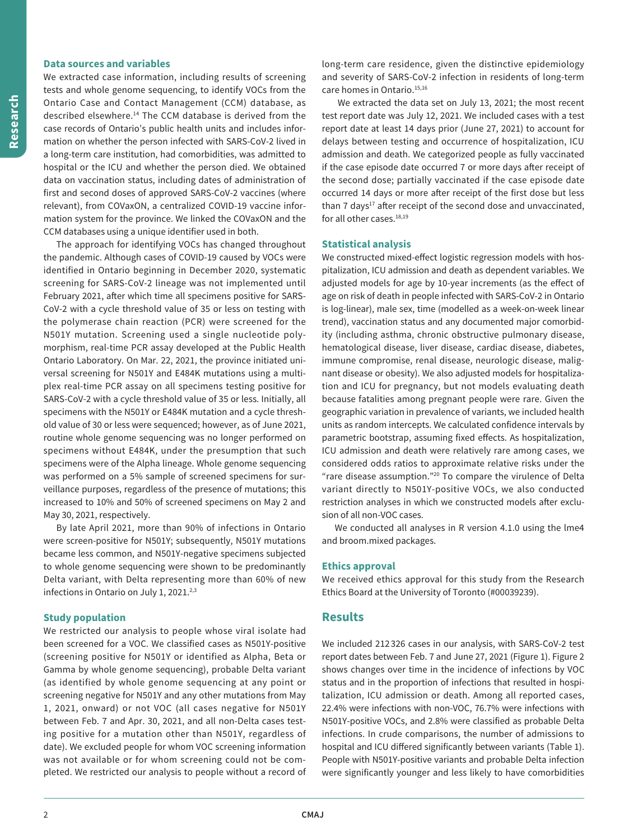#### **Data sources and variables**

 described [elsewhere.14](https://elsewhere.14) The CCM database is derived from the We extracted case information, including results of screening tests and whole genome sequencing, to identify VOCs from the Ontario Case and Contact Management (CCM) database, as case records of Ontario's public health units and includes information on whether the person infected with SARS-CoV-2 lived in a long-term care institution, had comorbidities, was admitted to hospital or the ICU and whether the person died. We obtained data on vaccination status, including dates of administration of first and second doses of approved SARS-CoV-2 vaccines (where relevant), from COVaxON, a centralized COVID-19 vaccine information system for the province. We linked the COVaxON and the CCM databases using a unique identifier used in both.

 versal screening for N501Y and E484K mutations using a multi-The approach for identifying VOCs has changed throughout the pandemic. Although cases of COVID-19 caused by VOCs were identified in Ontario beginning in December 2020, systematic screening for SARS-CoV-2 lineage was not implemented until February 2021, after which time all specimens positive for SARS-CoV-2 with a cycle threshold value of 35 or less on testing with the polymerase chain reaction (PCR) were screened for the N501Y mutation. Screening used a single nucleotide polymorphism, real-time PCR assay developed at the Public Health Ontario Laboratory. On Mar. 22, 2021, the province initiated uniplex real-time PCR assay on all specimens testing positive for SARS-CoV-2 with a cycle threshold value of 35 or less. Initially, all specimens with the N501Y or E484K mutation and a cycle threshold value of 30 or less were sequenced; however, as of June 2021, routine whole genome sequencing was no longer performed on specimens without E484K, under the presumption that such specimens were of the Alpha lineage. Whole genome sequencing was performed on a 5% sample of screened specimens for surveillance purposes, regardless of the presence of mutations; this increased to 10% and 50% of screened specimens on May 2 and May 30, 2021, respectively.

By late April 2021, more than 90% of infections in Ontario were screen-positive for N501Y; subsequently, N501Y mutations became less common, and N501Y-negative specimens subjected to whole genome sequencing were shown to be predominantly Delta variant, with Delta representing more than 60% of new infections in Ontario on July 1, 2021.<sup>2,3</sup>

#### **Study population**

We restricted our analysis to people whose viral isolate had been screened for a VOC. We classified cases as N501Y-positive (screening positive for N501Y or identified as Alpha, Beta or Gamma by whole genome sequencing), probable Delta variant (as identified by whole genome sequencing at any point or screening negative for N501Y and any other mutations from May 1, 2021, onward) or not VOC (all cases negative for N501Y between Feb. 7 and Apr. 30, 2021, and all non-Delta cases testing positive for a mutation other than N501Y, regardless of date). We excluded people for whom VOC screening information was not available or for whom screening could not be completed. We restricted our analysis to people without a record of long-term care residence, given the distinctive epidemiology and severity of SARS-CoV-2 infection in residents of long-term care homes in Ontario.<sup>15,16</sup>

We extracted the data set on July 13, 2021; the most recent test report date was July 12, 2021. We included cases with a test report date at least 14 days prior (June 27, 2021) to account for delays between testing and occurrence of hospitalization, ICU admission and death. We categorized people as fully vaccinated if the case episode date occurred 7 or more days after receipt of the second dose; partially vaccinated if the case episode date occurred 14 days or more after receipt of the first dose but less than  $7 \text{ days}^{17}$  after receipt of the second dose and unvaccinated, for all other cases.<sup>18,19</sup>

#### **Statistical analysis**

We constructed mixed-effect logistic regression models with hospitalization, ICU admission and death as dependent variables. We adjusted models for age by 10-year increments (as the efect of age on risk of death in people infected with SARS-CoV-2 in Ontario is log-linear), male sex, time (modelled as a week-on-week linear trend), vaccination status and any documented major comorbidity (including asthma, chronic obstructive pulmonary disease, hematological disease, liver disease, cardiac disease, diabetes, immune compromise, renal disease, neurologic disease, malignant disease or obesity). We also adjusted models for hospitalization and ICU for pregnancy, but not models evaluating death because fatalities among pregnant people were rare. Given the geographic variation in prevalence of variants, we included health units as random intercepts. We calculated confidence intervals by parametric bootstrap, assuming fixed efects. As hospitalization, ICU admission and death were relatively rare among cases, we considered odds ratios to approximate relative risks under the "rare disease assumption."20 To compare the virulence of Delta variant directly to N501Y-positive VOCs, we also conducted restriction analyses in which we constructed models after exclusion of all non-VOC cases.

We conducted all analyses in R version 4.1.0 using the lme4 and broom.mixed packages.

#### **Ethics approval**

We received ethics approval for this study from the Research Ethics Board at the University of Toronto (#00039239).

#### **Results**

We included 212 326 cases in our analysis, with SARS-CoV-2 test report dates between Feb. 7 and June 27, 2021 (Figure 1). Figure 2 shows changes over time in the incidence of infections by VOC status and in the proportion of infections that resulted in hospitalization, ICU admission or death. Among all reported cases, 22.4% were infections with non-VOC, 76.7% were infections with N501Y-positive VOCs, and 2.8% were classified as probable Delta infections. In crude comparisons, the number of admissions to hospital and ICU difered significantly between variants (Table 1). People with N501Y-positive variants and probable Delta infection were significantly younger and less likely to have comorbidities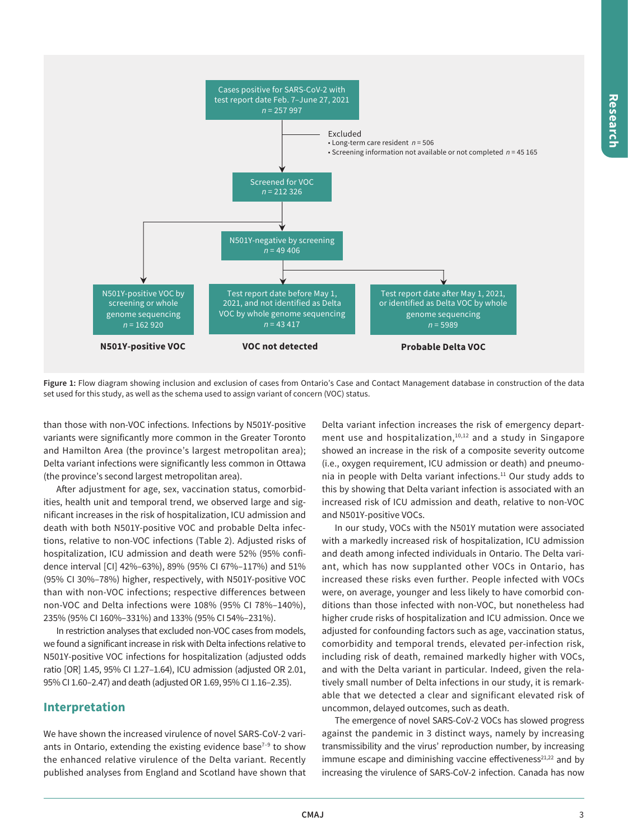

**Figure 1:** Flow diagram showing inclusion and exclusion of cases from Ontario's Case and Contact Management database in construction of the data set used for this study, as well as the schema used to assign variant of concern (VOC) status.

than those with non-VOC infections. Infections by N501Y-positive variants were significantly more common in the Greater Toronto and Hamilton Area (the province's largest metropolitan area); Delta variant infections were significantly less common in Ottawa (the province's second largest metropolitan area).

Afer adjustment for age, sex, vaccination status, comorbidities, health unit and temporal trend, we observed large and significant increases in the risk of hospitalization, ICU admission and death with both N501Y-positive VOC and probable Delta infections, relative to non-VOC infections (Table 2). Adjusted risks of hospitalization, ICU admission and death were 52% (95% confidence interval [CI] 42%–63%), 89% (95% CI 67%–117%) and 51% (95% CI 30%–78%) higher, respectively, with N501Y-positive VOC than with non-VOC infections; respective differences between non-VOC and Delta infections were 108% (95% CI 78%–140%), 235% (95% CI 160%–331%) and 133% (95% CI 54%–231%).

In restriction analyses that excluded non-VOC cases from models, we found a significant increase in risk with Delta infections relative to N501Y-positive VOC infections for hospitalization (adjusted odds ratio [OR] 1.45, 95% CI [1.27–1.64\)](https://1.27�1.64), ICU admission (adjusted OR 2.01, 95% CI [1.60–2.47](https://1.60�2.47)) and death (adjusted OR 1.69, 95% CI [1.16–2.35](https://1.16�2.35)).

### **Interpretation**

We have shown the increased virulence of novel SARS-CoV-2 variants in Ontario, extending the existing evidence base $7-9$  to show the enhanced relative virulence of the Delta variant. Recently published analyses from England and Scotland have shown that

I Delta variant infection increases the risk of emergency department use and hospitalization,<sup>10,12</sup> and a study in Singapore showed an increase in the risk of a composite severity outcome (i.e., oxygen requirement, ICU admission or death) and pneumonia in people with Delta variant infections.<sup>11</sup> Our study adds to this by showing that Delta variant infection is associated with an increased risk of ICU admission and death, relative to non-VOC and N501Y-positive VOCs.

In our study, VOCs with the N501Y mutation were associated with a markedly increased risk of hospitalization, ICU admission and death among infected individuals in Ontario. The Delta variant, which has now supplanted other VOCs in Ontario, has increased these risks even further. People infected with VOCs were, on average, younger and less likely to have comorbid conditions than those infected with non-VOC, but nonetheless had higher crude risks of hospitalization and ICU admission. Once we adjusted for confounding factors such as age, vaccination status, comorbidity and temporal trends, elevated per-infection risk, including risk of death, remained markedly higher with VOCs, and with the Delta variant in particular. Indeed, given the relatively small number of Delta infections in our study, it is remarkable that we detected a clear and significant elevated risk of uncommon, delayed outcomes, such as death.

The emergence of novel SARS-CoV-2 VOCs has slowed progress against the pandemic in 3 distinct ways, namely by increasing transmissibility and the virus' reproduction number, by increasing immune escape and diminishing vaccine effectiveness<sup>21,22</sup> and by increasing the virulence of SARS-CoV-2 infection. Canada has now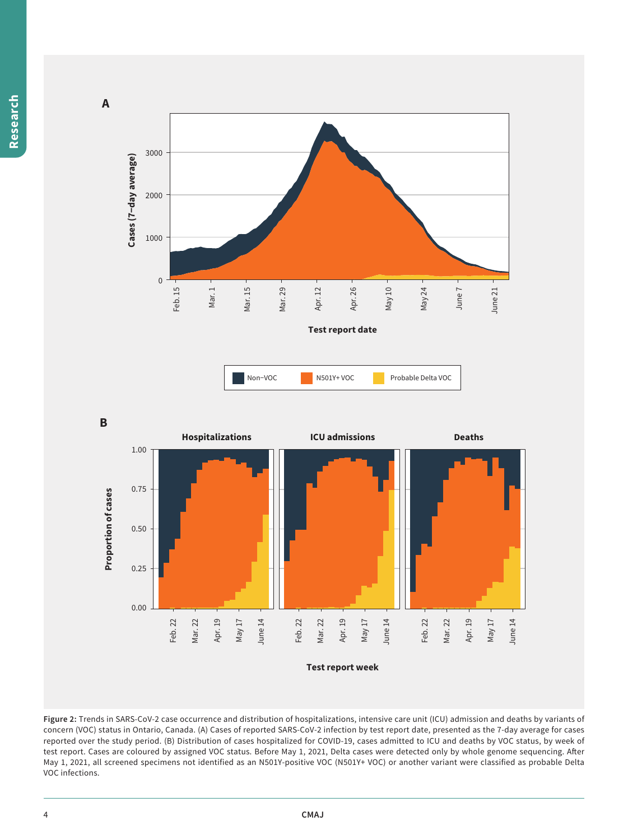



**Figure 2:** Trends in SARS-CoV-2 case occurrence and distribution of hospitalizations, intensive care unit (ICU) admission and deaths by variants of concern (VOC) status in Ontario, Canada. (A) Cases of reported SARS-CoV-2 infection by test report date, presented as the 7-day average for cases reported over the study period. (B) Distribution of cases hospitalized for COVID-19, cases admitted to ICU and deaths by VOC status, by week of test report. Cases are coloured by assigned VOC status. Before May 1, 2021, Delta cases were detected only by whole genome sequencing. Afer May 1, 2021, all screened specimens not identified as an N501Y-positive VOC (N501Y+ VOC) or another variant were classified as probable Delta VOC infections.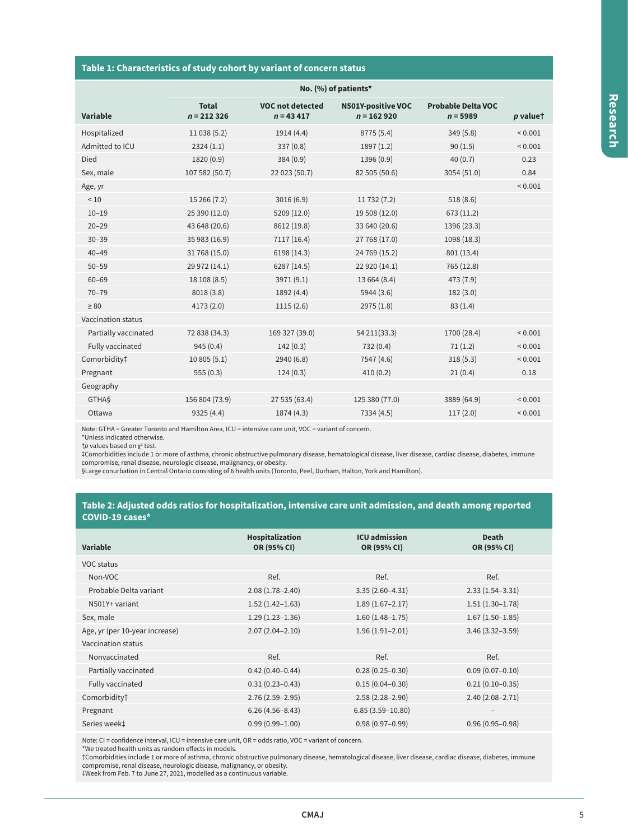#### **Table 1: Characteristics of study cohort by variant of concern status**

|                           | No. (%) of patients*         |                                        |                                           |                                         |              |
|---------------------------|------------------------------|----------------------------------------|-------------------------------------------|-----------------------------------------|--------------|
| <b>Variable</b>           | <b>Total</b><br>$n = 212326$ | <b>VOC not detected</b><br>$n = 43417$ | <b>N501Y-positive VOC</b><br>$n = 162920$ | <b>Probable Delta VOC</b><br>$n = 5989$ | $p$ valuet   |
| Hospitalized              | 11 038 (5.2)                 | 1914 (4.4)                             | 8775 (5.4)                                | 349(5.8)                                | ${}_{0.001}$ |
| Admitted to ICU           | 2324(1.1)                    | 337(0.8)                               | 1897(1.2)                                 | 90(1.5)                                 | ${}_{0.001}$ |
| Died                      | 1820 (0.9)                   | 384(0.9)                               | 1396 (0.9)                                | 40(0.7)                                 | 0.23         |
| Sex, male                 | 107 582 (50.7)               | 22 023 (50.7)                          | 82 505 (50.6)                             | 3054 (51.0)                             | 0.84         |
| Age, yr                   |                              |                                        |                                           |                                         | ${}_{0.001}$ |
| ~10                       | 15 266 (7.2)                 | 3016(6.9)                              | 11 732 (7.2)                              | 518(8.6)                                |              |
| $10 - 19$                 | 25 390 (12.0)                | 5209 (12.0)                            | 19 508 (12.0)                             | 673 (11.2)                              |              |
| $20 - 29$                 | 43 648 (20.6)                | 8612 (19.8)                            | 33 640 (20.6)                             | 1396 (23.3)                             |              |
| $30 - 39$                 | 35 983 (16.9)                | 7117 (16.4)                            | 27 768 (17.0)                             | 1098 (18.3)                             |              |
| $40 - 49$                 | 31 768 (15.0)                | 6198 (14.3)                            | 24 769 (15.2)                             | 801 (13.4)                              |              |
| $50 - 59$                 | 29 972 (14.1)                | 6287 (14.5)                            | 22 920 (14.1)                             | 765 (12.8)                              |              |
| $60 - 69$                 | 18 108 (8.5)                 | 3971 (9.1)                             | 13 664 (8.4)                              | 473 (7.9)                               |              |
| $70 - 79$                 | 8018 (3.8)                   | 1892 (4.4)                             | 5944 (3.6)                                | 182(3.0)                                |              |
| $\geq 80$                 | 4173 (2.0)                   | 1115(2.6)                              | 2975 (1.8)                                | 83(1.4)                                 |              |
| <b>Vaccination status</b> |                              |                                        |                                           |                                         |              |
| Partially vaccinated      | 72 838 (34.3)                | 169 327 (39.0)                         | 54 211 (33.3)                             | 1700 (28.4)                             | ${}_{0.001}$ |
| Fully vaccinated          | 945(0.4)                     | 142(0.3)                               | 732 (0.4)                                 | 71(1.2)                                 | ${}_{0.001}$ |
| Comorbidity‡              | 10805(5.1)                   | 2940 (6.8)                             | 7547 (4.6)                                | 318(5.3)                                | ${}_{0.001}$ |
| Pregnant                  | 555(0.3)                     | 124(0.3)                               | 410(0.2)                                  | 21(0.4)                                 | 0.18         |
| Geography                 |                              |                                        |                                           |                                         |              |
| <b>GTHAS</b>              | 156 804 (73.9)               | 27 535 (63.4)                          | 125 380 (77.0)                            | 3889 (64.9)                             | < 0.001      |
| Ottawa                    | 9325 (4.4)                   | 1874 (4.3)                             | 7334 (4.5)                                | 117(2.0)                                | ${}_{0.001}$ |
|                           |                              |                                        |                                           |                                         |              |

Note: GTHA = Greater Toronto and Hamilton Area, ICU = intensive care unit, VOC = variant of concern.

\*Unless indicated otherwise.

†*p* values based on χ<sup>2</sup> test.

‡Comorbidities include 1 or more of asthma, chronic obstructive pulmonary disease, hematological disease, liver disease, cardiac disease, diabetes, immune<br>compromise, renal disease, neurologic disease, malignancy, or obes

#### **Table 2: Adjusted odds ratios for hospitalization, intensive care unit admission, and death among reported COVID-19 cases\***

| Variable                       | Hospitalization<br>OR (95% CI) | <b>ICU</b> admission<br>OR (95% CI) | Death<br>OR (95% CI)     |
|--------------------------------|--------------------------------|-------------------------------------|--------------------------|
| VOC status                     |                                |                                     |                          |
| Non-VOC                        | Ref.                           | Ref.                                | Ref.                     |
| Probable Delta variant         | $2.08(1.78 - 2.40)$            | $3.35(2.60-4.31)$                   | $2.33(1.54-3.31)$        |
| N501Y+ variant                 | $1.52(1.42 - 1.63)$            | $1.89(1.67 - 2.17)$                 | $1.51(1.30-1.78)$        |
| Sex, male                      | $1.29(1.23 - 1.36)$            | $1.60(1.48 - 1.75)$                 | $1.67(1.50-1.85)$        |
| Age, yr (per 10-year increase) | $2.07(2.04 - 2.10)$            | $1.96(1.91 - 2.01)$                 | $3.46(3.32 - 3.59)$      |
| Vaccination status             |                                |                                     |                          |
| Nonvaccinated                  | Ref.                           | Ref.                                | Ref.                     |
| Partially vaccinated           | $0.42(0.40 - 0.44)$            | $0.28(0.25 - 0.30)$                 | $0.09(0.07 - 0.10)$      |
| Fully vaccinated               | $0.31(0.23 - 0.43)$            | $0.15(0.04 - 0.30)$                 | $0.21(0.10-0.35)$        |
| Comorbidity†                   | $2.76(2.59 - 2.95)$            | $2.58(2.28 - 2.90)$                 | $2.40(2.08 - 2.71)$      |
| Pregnant                       | $6.26(4.56 - 8.43)$            | $6.85(3.59 - 10.80)$                | $\overline{\phantom{a}}$ |
| Series week‡                   | $0.99(0.99 - 1.00)$            | $0.98(0.97 - 0.99)$                 | $0.96(0.95 - 0.98)$      |
|                                |                                |                                     |                          |

Note: CI = confidence interval, ICU = intensive care unit, OR = odds ratio, VOC = variant of concern. \*We treated health units as random efects in models.

†Comorbidities include 1 or more of asthma, chronic obstructive pulmonary disease, hematological disease, liver disease, cardiac disease, diabetes, immune<br>compromise, renal disease, neurologic disease, malignancy, or obes

‡Week from Feb. 7 to June 27, 2021, modelled as a continuous variable.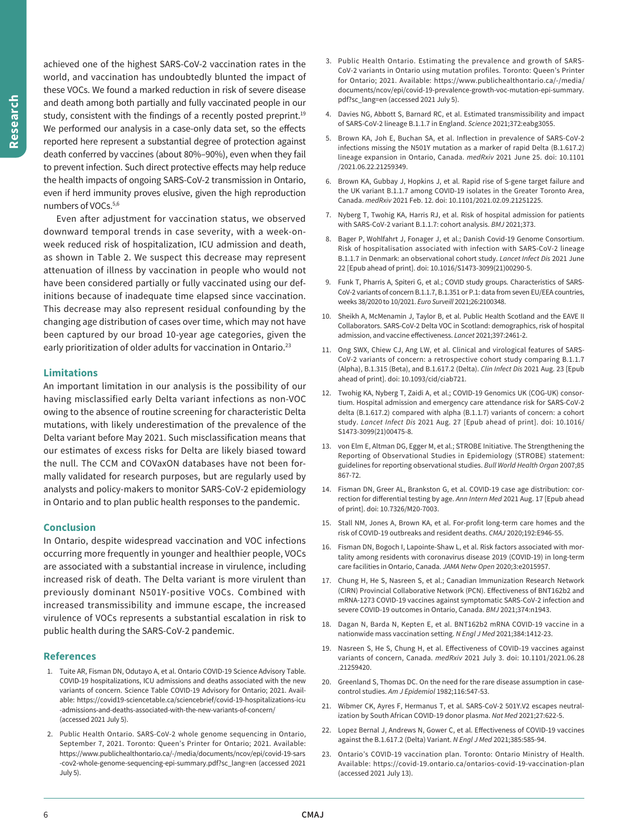achieved one of the highest SARS-CoV-2 vaccination rates in the world, and vaccination has undoubtedly blunted the impact of these VOCs. We found a marked reduction in risk of severe disease and death among both partially and fully vaccinated people in our study, consistent with the findings of a recently posted preprint.<sup>19</sup> We performed our analysis in a case-only data set, so the effects reported here represent a substantial degree of protection against death conferred by vaccines (about 80%–90%), even when they fail to prevent infection. Such direct protective efects may help reduce the health impacts of ongoing SARS-CoV-2 transmission in Ontario, even if herd immunity proves elusive, given the high reproduction numbers of VOCs.5,6

 initions because of inadequate time elapsed since vaccination. Even after adjustment for vaccination status, we observed downward temporal trends in case severity, with a week-onweek reduced risk of hospitalization, ICU admission and death, as shown in Table 2. We suspect this decrease may represent attenuation of illness by vaccination in people who would not have been considered partially or fully vaccinated using our def-This decrease may also represent residual confounding by the changing age distribution of cases over time, which may not have been captured by our broad 10-year age categories, given the early prioritization of older adults for vaccination in Ontario.<sup>23</sup>

#### **Limitations**

An important limitation in our analysis is the possibility of our having misclassified early Delta variant infections as non-VOC owing to the absence of routine screening for characteristic Delta mutations, with likely underestimation of the prevalence of the Delta variant before May 2021. Such misclassification means that our estimates of excess risks for Delta are likely biased toward the null. The CCM and COVaxON databases have not been formally validated for research purposes, but are regularly used by analysts and policy-makers to monitor SARS-CoV-2 epidemiology in Ontario and to plan public health responses to the pandemic.

#### **Conclusion**

 increased risk of death. The Delta variant is more virulent than In Ontario, despite widespread vaccination and VOC infections occurring more frequently in younger and healthier people, VOCs are associated with a substantial increase in virulence, including previously dominant N501Y-positive VOCs. Combined with increased transmissibility and immune escape, the increased virulence of VOCs represents a substantial escalation in risk to public health during the SARS-CoV-2 pandemic.

#### **References**

- 1. Tuite AR, Fisman DN, Odutayo A, et al. Ontario COVID-19 Science Advisory Table. COVID-19 hospitalizations, ICU admissions and deaths associated with the new variants of concern. Science Table COVID-19 Advisory for Ontario; 2021. Available: <https://covid19-sciencetable.ca/sciencebrief/covid-19-hospitalizations-icu> -admissions-and-deaths-associated-with-the-new-variants-of-concern/ (accessed 2021 July 5).
- 2. Public Health Ontario. SARS-CoV-2 whole genome sequencing in Ontario, September 7, 2021. Toronto: Queen's Printer for Ontario; 2021. Available: <https://www.publichealthontario.ca/-/media/documents/ncov/epi/covid-19-sars> -cov2-whole-genome-sequencing-epi-summary.pdf?sc\_lang=en (accessed 2021 July 5).
- 3. Public Health Ontario. Estimating the prevalence and growth of SARS-CoV-2 variants in Ontario using mutation profiles. Toronto: Queen's Printer for Ontario; 2021. Available: <https://www.publichealthontario.ca/-/media>/ documents/ncov/epi/covid-19-prevalence-growth-voc-mutation-epi-summary. pdf?sc\_lang=en (accessed 2021 July 5).
- 4. Davies NG, Abbott S, Barnard RC, et al. Estimated transmissibility and impact of SARS-CoV-2 lineage B.1.1.7 in England. *Science* 2021;372:eabg3055.
- 5. Brown KA, Joh E, Buchan SA, et al. Inflection in prevalence of SARS-CoV-2 infections missing the N501Y mutation as a marker of rapid Delta (B.1.617.2) lineage expansion in Ontario, Canada. *medRxiv* 2021 June 25. doi: 10.1101 /2021.06.22.21259349.
- 6. Brown KA, Gubbay J, Hopkins J, et al. Rapid rise of S-gene target failure and the UK variant B.1.1.7 among COVID-19 isolates in the Greater Toronto Area, Canada. *medRxiv* 2021 Feb. 12. doi: 10.1101/2021.02.09.21251225.
- 7. Nyberg T, Twohig KA, Harris RJ, et al. Risk of hospital admission for patients with SARS-CoV-2 variant B.1.1.7: cohort analysis. *BMJ* 2021;373.
- 8. Bager P, Wohlfahrt J, Fonager J, et al.; Danish Covid-19 Genome Consortium. Risk of hospitalisation associated with infection with SARS-CoV-2 lineage B.1.1.7 in Denmark: an observational cohort study. *Lancet Infect Dis* 2021 June 22 [Epub ahead of print]. doi: 10.1016/S1473-3099(21)00290-5.
- 9. Funk T, Pharris A, Spiteri G, et al.; COVID study groups. Characteristics of SARS-CoV-2 variants of concern B.1.1.7, B.1.351 or P.1: data from seven EU/EEA countries, weeks 38/2020 to 10/2021. *Euro Surveill* 2021;26:2100348.
- 10. Sheikh A, McMenamin J, Taylor B, et al. Public Health Scotland and the EAVE II Collaborators. SARS-CoV-2 Delta VOC in Scotland: demographics, risk of hospital admission, and vaccine efectiveness. *Lancet* 2021;397:2461-2.
- 11. Ong SWX, Chiew CJ, Ang LW, et al. Clinical and virological features of SARS-CoV-2 variants of concern: a retrospective cohort study comparing B.1.1.7 (Alpha), B.1.315 (Beta), and B.1.617.2 (Delta). *Clin Infect Dis* 2021 Aug. 23 [Epub ahead of print]. doi: 10.1093/cid/ciab721.
- 12. Twohig KA, Nyberg T, Zaidi A, et al.; COVID-19 Genomics UK (COG-UK) consortium. Hospital admission and emergency care attendance risk for SARS-CoV-2 delta (B.1.617.2) compared with alpha (B.1.1.7) variants of concern: a cohort study. *Lancet Infect Dis* 2021 Aug. 27 [Epub ahead of print]. doi: 10.1016/ S1473-3099(21)00475-8.
- 13. von Elm E, Altman DG, Egger M, et al.; STROBE Initiative. The Strengthening the Reporting of Observational Studies in Epidemiology (STROBE) statement: guidelines for reporting observational studies. *Bull World Health Organ* 2007;85 867-72.
- 14. Fisman DN, Greer AL, Brankston G, et al. COVID-19 case age distribution: correction for diferential testing by age. *Ann Intern Med* 2021 Aug. 17 [Epub ahead of print]. doi: 10.7326/M20-7003.
- 15. Stall NM, Jones A, Brown KA, et al. For-profit long-term care homes and the risk of COVID-19 outbreaks and resident deaths. *CMAJ* 2020;192:E946-55.
- 16. Fisman DN, Bogoch I, Lapointe-Shaw L, et al. Risk factors associated with mortality among residents with coronavirus disease 2019 (COVID-19) in long-term care facilities in Ontario, Canada. *JAMA Netw Open* 2020;3:e2015957.
- 17. Chung H, He S, Nasreen S, et al.; Canadian Immunization Research Network (CIRN) Provincial Collaborative Network (PCN). Efectiveness of BNT162b2 and mRNA-1273 COVID-19 vaccines against symptomatic SARS-CoV-2 infection and severe COVID-19 outcomes in Ontario, Canada. *BMJ* 2021;374:n1943.
- 18. Dagan N, Barda N, Kepten E, et al. BNT162b2 mRNA COVID-19 vaccine in a nationwide mass vaccination setting. *N Engl J Med* 2021;384:1412-23.
- 19. Nasreen S, He S, Chung H, et al. Efectiveness of COVID-19 vaccines against variants of concern, Canada. *medRxiv* 2021 July 3. doi: [10.1101/2021.06.28](https://10.1101/2021.06.28) .21259420.
- 20. Greenland S, Thomas DC. On the need for the rare disease assumption in casecontrol studies. *Am J Epidemiol* 1982;116:547-53.
- 21. Wibmer CK, Ayres F, Hermanus T, et al. SARS-CoV-2 501Y.V2 escapes neutralization by South African COVID-19 donor plasma. *Nat Med* 2021;27:622-5.
- 22. Lopez Bernal J, Andrews N, Gower C, et al. Efectiveness of COVID-19 vaccines against the B.1.617.2 (Delta) Variant. *N Engl J Med* 2021;385:585-94.
- 23. Ontario's COVID-19 vaccination plan. Toronto: Ontario Ministry of Health. Available: <https://covid-19.ontario.ca/ontarios-covid-19-vaccination-plan> (accessed 2021 July 13).